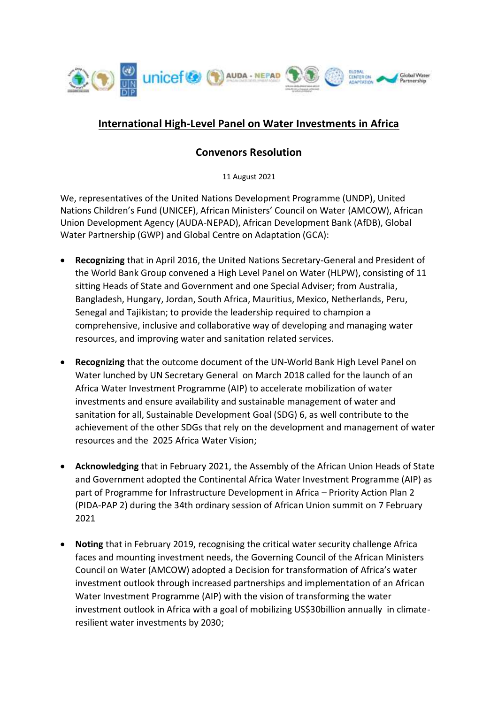

## **International High-Level Panel on Water Investments in Africa**

## **Convenors Resolution**

11 August 2021

We, representatives of the United Nations Development Programme (UNDP), United Nations Children's Fund (UNICEF), African Ministers' Council on Water (AMCOW), African Union Development Agency (AUDA-NEPAD), African Development Bank (AfDB), Global Water Partnership (GWP) and Global Centre on Adaptation (GCA):

- **Recognizing** that in April 2016, the United Nations Secretary-General and President of the World Bank Group convened a High Level Panel on Water (HLPW), consisting of 11 sitting Heads of State and Government and one Special Adviser; from Australia, Bangladesh, Hungary, Jordan, South Africa, Mauritius, Mexico, Netherlands, Peru, Senegal and Tajikistan; to provide the leadership required to champion a comprehensive, inclusive and collaborative way of developing and managing water resources, and improving water and sanitation related services.
- **Recognizing** that the outcome document of the UN-World Bank High Level Panel on Water lunched by UN Secretary General on March 2018 called for the launch of an Africa Water Investment Programme (AIP) to accelerate mobilization of water investments and ensure availability and sustainable management of water and sanitation for all, Sustainable Development Goal (SDG) 6, as well contribute to the achievement of the other SDGs that rely on the development and management of water resources and the 2025 Africa Water Vision;
- **Acknowledging** that in February 2021, the Assembly of the African Union Heads of State and Government adopted the Continental Africa Water Investment Programme (AIP) as part of Programme for Infrastructure Development in Africa – Priority Action Plan 2 (PIDA-PAP 2) during the 34th ordinary session of African Union summit on 7 February 2021
- **Noting** that in February 2019, recognising the critical water security challenge Africa faces and mounting investment needs, the Governing Council of the African Ministers Council on Water (AMCOW) adopted a Decision for transformation of Africa's water investment outlook through increased partnerships and implementation of an African Water Investment Programme (AIP) with the vision of transforming the water investment outlook in Africa with a goal of mobilizing US\$30billion annually in climateresilient water investments by 2030;